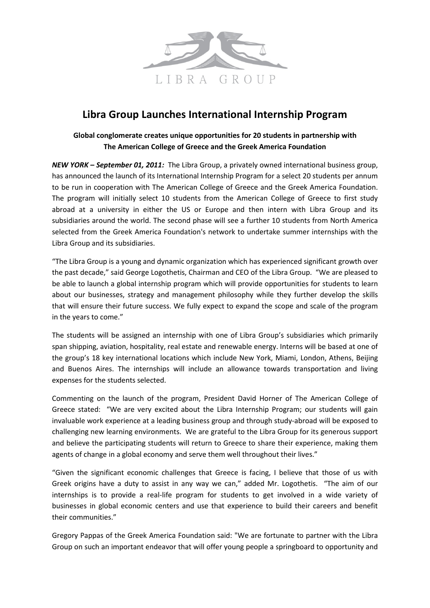

# **Libra Group Launches International Internship Program**

# **Global conglomerate creates unique opportunities for 20 students in partnership with The American College of Greece and the Greek America Foundation**

*NEW YORK – September 01, 2011:* The Libra Group, a privately owned international business group, has announced the launch of its International Internship Program for a select 20 students per annum to be run in cooperation with The American College of Greece and the Greek America Foundation. The program will initially select 10 students from the American College of Greece to first study abroad at a university in either the US or Europe and then intern with Libra Group and its subsidiaries around the world. The second phase will see a further 10 students from North America selected from the Greek America Foundation's network to undertake summer internships with the Libra Group and its subsidiaries.

"The Libra Group is a young and dynamic organization which has experienced significant growth over the past decade," said George Logothetis, Chairman and CEO of the Libra Group. "We are pleased to be able to launch a global internship program which will provide opportunities for students to learn about our businesses, strategy and management philosophy while they further develop the skills that will ensure their future success. We fully expect to expand the scope and scale of the program in the years to come."

The students will be assigned an internship with one of Libra Group's subsidiaries which primarily span shipping, aviation, hospitality, real estate and renewable energy. Interns will be based at one of the group's 18 key international locations which include New York, Miami, London, Athens, Beijing and Buenos Aires. The internships will include an allowance towards transportation and living expenses for the students selected.

Commenting on the launch of the program, President David Horner of The American College of Greece stated: "We are very excited about the Libra Internship Program; our students will gain invaluable work experience at a leading business group and through study-abroad will be exposed to challenging new learning environments. We are grateful to the Libra Group for its generous support and believe the participating students will return to Greece to share their experience, making them agents of change in a global economy and serve them well throughout their lives."

"Given the significant economic challenges that Greece is facing, I believe that those of us with Greek origins have a duty to assist in any way we can," added Mr. Logothetis. "The aim of our internships is to provide a real-life program for students to get involved in a wide variety of businesses in global economic centers and use that experience to build their careers and benefit their communities."

Gregory Pappas of the Greek America Foundation said: "We are fortunate to partner with the Libra Group on such an important endeavor that will offer young people a springboard to opportunity and